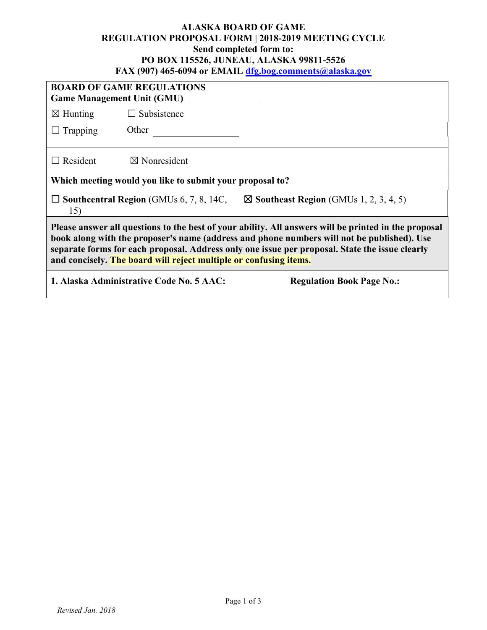## **ALASKA BOARD OF GAME REGULATION PROPOSAL FORM | 2018-2019 MEETING CYCLE Send completed form to: PO BOX 115526, JUNEAU, ALASKA 99811-5526 FAX (907) 465-6094 or EMAIL [dfg.bog.comments@alaska.gov](mailto:dfg.bog.comments@alaska.gov)**

| <b>BOARD OF GAME REGULATIONS</b><br><b>Game Management Unit (GMU)</b>                                                                                                                                                                                                                                                                                                     |                         |  |  |  |
|---------------------------------------------------------------------------------------------------------------------------------------------------------------------------------------------------------------------------------------------------------------------------------------------------------------------------------------------------------------------------|-------------------------|--|--|--|
| $\boxtimes$ Hunting                                                                                                                                                                                                                                                                                                                                                       | $\Box$ Subsistence      |  |  |  |
| $\Box$ Trapping                                                                                                                                                                                                                                                                                                                                                           | Other                   |  |  |  |
| $\Box$ Resident                                                                                                                                                                                                                                                                                                                                                           | $\boxtimes$ Nonresident |  |  |  |
| Which meeting would you like to submit your proposal to?                                                                                                                                                                                                                                                                                                                  |                         |  |  |  |
| $\boxtimes$ Southeast Region (GMUs 1, 2, 3, 4, 5)<br>$\Box$ Southcentral Region (GMUs 6, 7, 8, 14C,<br>15)                                                                                                                                                                                                                                                                |                         |  |  |  |
| Please answer all questions to the best of your ability. All answers will be printed in the proposal<br>book along with the proposer's name (address and phone numbers will not be published). Use<br>separate forms for each proposal. Address only one issue per proposal. State the issue clearly<br>and concisely. The board will reject multiple or confusing items. |                         |  |  |  |
| 1. Alaska Administrative Code No. 5 AAC:<br><b>Regulation Book Page No.:</b>                                                                                                                                                                                                                                                                                              |                         |  |  |  |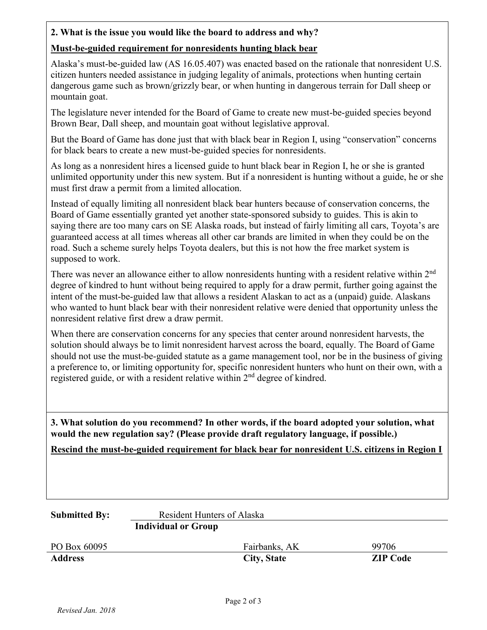## **2. What is the issue you would like the board to address and why?**

## **Must-be-guided requirement for nonresidents hunting black bear**

Alaska's must-be-guided law (AS 16.05.407) was enacted based on the rationale that nonresident U.S. citizen hunters needed assistance in judging legality of animals, protections when hunting certain dangerous game such as brown/grizzly bear, or when hunting in dangerous terrain for Dall sheep or mountain goat.

The legislature never intended for the Board of Game to create new must-be-guided species beyond Brown Bear, Dall sheep, and mountain goat without legislative approval.

But the Board of Game has done just that with black bear in Region I, using "conservation" concerns for black bears to create a new must-be-guided species for nonresidents.

As long as a nonresident hires a licensed guide to hunt black bear in Region I, he or she is granted unlimited opportunity under this new system. But if a nonresident is hunting without a guide, he or she must first draw a permit from a limited allocation.

Instead of equally limiting all nonresident black bear hunters because of conservation concerns, the Board of Game essentially granted yet another state-sponsored subsidy to guides. This is akin to saying there are too many cars on SE Alaska roads, but instead of fairly limiting all cars, Toyota's are guaranteed access at all times whereas all other car brands are limited in when they could be on the road. Such a scheme surely helps Toyota dealers, but this is not how the free market system is supposed to work.

There was never an allowance either to allow nonresidents hunting with a resident relative within 2<sup>nd</sup> degree of kindred to hunt without being required to apply for a draw permit, further going against the intent of the must-be-guided law that allows a resident Alaskan to act as a (unpaid) guide. Alaskans who wanted to hunt black bear with their nonresident relative were denied that opportunity unless the nonresident relative first drew a draw permit.

When there are conservation concerns for any species that center around nonresident harvests, the solution should always be to limit nonresident harvest across the board, equally. The Board of Game should not use the must-be-guided statute as a game management tool, nor be in the business of giving a preference to, or limiting opportunity for, specific nonresident hunters who hunt on their own, with a registered guide, or with a resident relative within 2<sup>nd</sup> degree of kindred.

**3. What solution do you recommend? In other words, if the board adopted your solution, what would the new regulation say? (Please provide draft regulatory language, if possible.)**

**Rescind the must-be-guided requirement for black bear for nonresident U.S. citizens in Region I**

| <b>Submitted By:</b> | Resident Hunters of Alaska |                    |                 |  |
|----------------------|----------------------------|--------------------|-----------------|--|
|                      | <b>Individual or Group</b> |                    |                 |  |
| PO Box 60095         |                            | Fairbanks, AK      | 99706           |  |
| <b>Address</b>       |                            | <b>City, State</b> | <b>ZIP Code</b> |  |